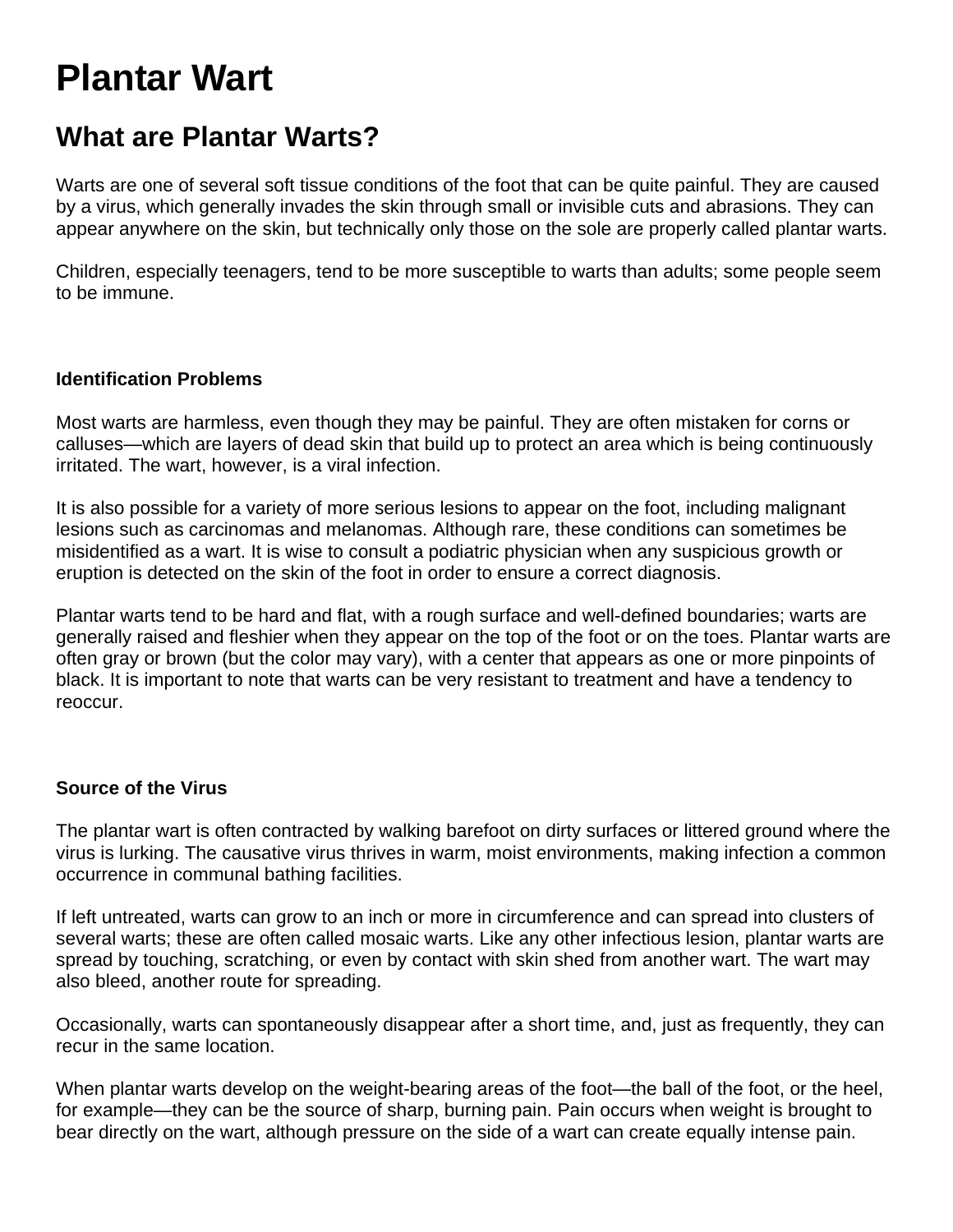# **Plantar Wart**

### **What are Plantar Warts?**

Warts are one of several soft tissue conditions of the foot that can be quite painful. They are caused by a virus, which generally invades the skin through small or invisible cuts and abrasions. They can appear anywhere on the skin, but technically only those on the sole are properly called plantar warts.

Children, especially teenagers, tend to be more susceptible to warts than adults; some people seem to be immune.

#### **Identification Problems**

Most warts are harmless, even though they may be painful. They are often mistaken for corns or calluses—which are layers of dead skin that build up to protect an area which is being continuously irritated. The wart, however, is a viral infection.

It is also possible for a variety of more serious lesions to appear on the foot, including malignant lesions such as carcinomas and melanomas. Although rare, these conditions can sometimes be misidentified as a wart. It is wise to consult a podiatric physician when any suspicious growth or eruption is detected on the skin of the foot in order to ensure a correct diagnosis.

Plantar warts tend to be hard and flat, with a rough surface and well-defined boundaries; warts are generally raised and fleshier when they appear on the top of the foot or on the toes. Plantar warts are often gray or brown (but the color may vary), with a center that appears as one or more pinpoints of black. It is important to note that warts can be very resistant to treatment and have a tendency to reoccur.

#### **Source of the Virus**

The plantar wart is often contracted by walking barefoot on dirty surfaces or littered ground where the virus is lurking. The causative virus thrives in warm, moist environments, making infection a common occurrence in communal bathing facilities.

If left untreated, warts can grow to an inch or more in circumference and can spread into clusters of several warts; these are often called mosaic warts. Like any other infectious lesion, plantar warts are spread by touching, scratching, or even by contact with skin shed from another wart. The wart may also bleed, another route for spreading.

Occasionally, warts can spontaneously disappear after a short time, and, just as frequently, they can recur in the same location.

When plantar warts develop on the weight-bearing areas of the foot—the ball of the foot, or the heel, for example—they can be the source of sharp, burning pain. Pain occurs when weight is brought to bear directly on the wart, although pressure on the side of a wart can create equally intense pain.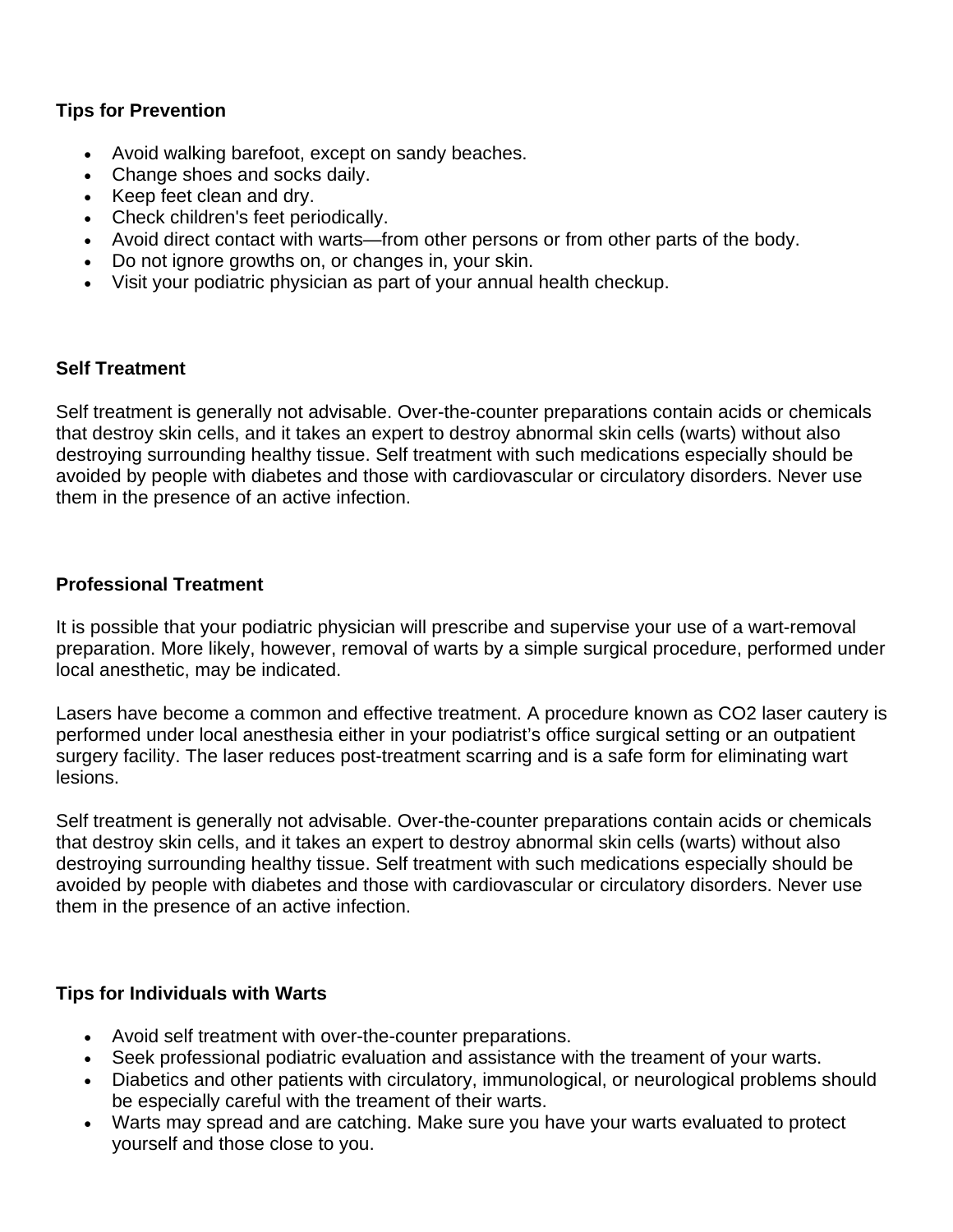#### **Tips for Prevention**

- Avoid walking barefoot, except on sandy beaches.
- Change shoes and socks daily.
- Keep feet clean and dry.
- Check children's feet periodically.
- Avoid direct contact with warts—from other persons or from other parts of the body.
- Do not ignore growths on, or changes in, your skin.
- Visit your podiatric physician as part of your annual health checkup.

#### **Self Treatment**

Self treatment is generally not advisable. Over-the-counter preparations contain acids or chemicals that destroy skin cells, and it takes an expert to destroy abnormal skin cells (warts) without also destroying surrounding healthy tissue. Self treatment with such medications especially should be avoided by people with diabetes and those with cardiovascular or circulatory disorders. Never use them in the presence of an active infection.

#### **Professional Treatment**

It is possible that your podiatric physician will prescribe and supervise your use of a wart-removal preparation. More likely, however, removal of warts by a simple surgical procedure, performed under local anesthetic, may be indicated.

Lasers have become a common and effective treatment. A procedure known as CO2 laser cautery is performed under local anesthesia either in your podiatrist's office surgical setting or an outpatient surgery facility. The laser reduces post-treatment scarring and is a safe form for eliminating wart lesions.

Self treatment is generally not advisable. Over-the-counter preparations contain acids or chemicals that destroy skin cells, and it takes an expert to destroy abnormal skin cells (warts) without also destroying surrounding healthy tissue. Self treatment with such medications especially should be avoided by people with diabetes and those with cardiovascular or circulatory disorders. Never use them in the presence of an active infection.

#### **Tips for Individuals with Warts**

- Avoid self treatment with over-the-counter preparations.
- Seek professional podiatric evaluation and assistance with the treament of your warts.
- Diabetics and other patients with circulatory, immunological, or neurological problems should be especially careful with the treament of their warts.
- Warts may spread and are catching. Make sure you have your warts evaluated to protect yourself and those close to you.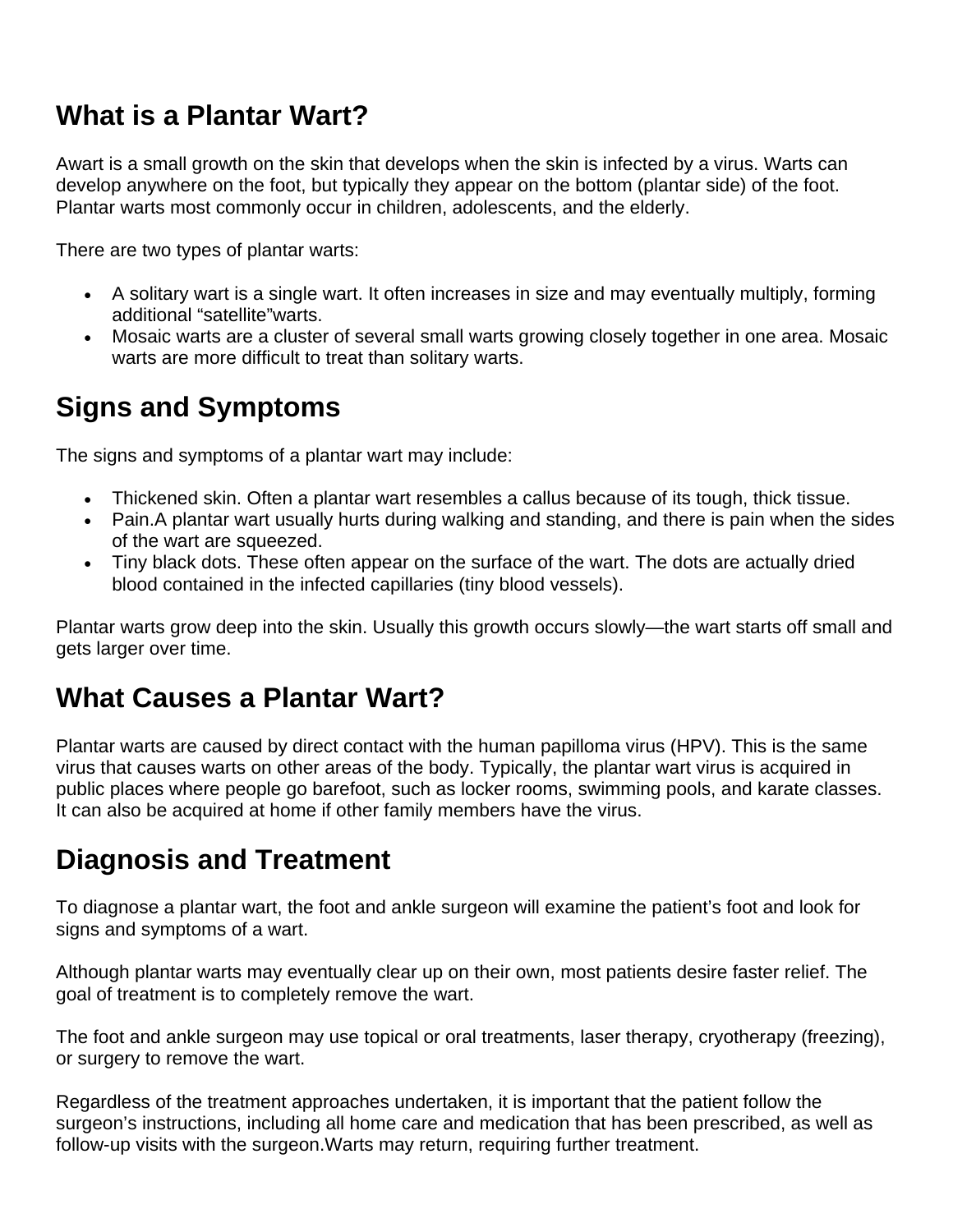# **What is a Plantar Wart?**

Awart is a small growth on the skin that develops when the skin is infected by a virus. Warts can develop anywhere on the foot, but typically they appear on the bottom (plantar side) of the foot. Plantar warts most commonly occur in children, adolescents, and the elderly.

There are two types of plantar warts:

- A solitary wart is a single wart. It often increases in size and may eventually multiply, forming additional "satellite"warts.
- Mosaic warts are a cluster of several small warts growing closely together in one area. Mosaic warts are more difficult to treat than solitary warts.

# **Signs and Symptoms**

The signs and symptoms of a plantar wart may include:

- Thickened skin. Often a plantar wart resembles a callus because of its tough, thick tissue.
- Pain. A plantar wart usually hurts during walking and standing, and there is pain when the sides of the wart are squeezed.
- Tiny black dots. These often appear on the surface of the wart. The dots are actually dried blood contained in the infected capillaries (tiny blood vessels).

Plantar warts grow deep into the skin. Usually this growth occurs slowly—the wart starts off small and gets larger over time.

### **What Causes a Plantar Wart?**

Plantar warts are caused by direct contact with the human papilloma virus (HPV). This is the same virus that causes warts on other areas of the body. Typically, the plantar wart virus is acquired in public places where people go barefoot, such as locker rooms, swimming pools, and karate classes. It can also be acquired at home if other family members have the virus.

# **Diagnosis and Treatment**

To diagnose a plantar wart, the foot and ankle surgeon will examine the patient's foot and look for signs and symptoms of a wart.

Although plantar warts may eventually clear up on their own, most patients desire faster relief. The goal of treatment is to completely remove the wart.

The foot and ankle surgeon may use topical or oral treatments, laser therapy, cryotherapy (freezing), or surgery to remove the wart.

Regardless of the treatment approaches undertaken, it is important that the patient follow the surgeon's instructions, including all home care and medication that has been prescribed, as well as follow-up visits with the surgeon.Warts may return, requiring further treatment.